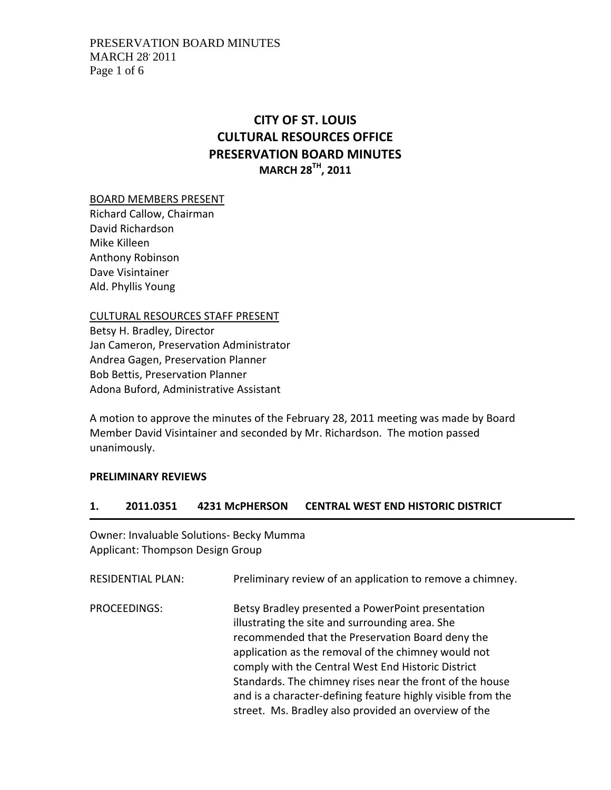# **CITY OF ST. LOUIS CULTURAL RESOURCES OFFICE PRESERVATION BOARD MINUTES MARCH 28TH, 2011**

BOARD MEMBERS PRESENT

Richard Callow, Chairman David Richardson Mike Killeen Anthony Robinson Dave Visintainer Ald. Phyllis Young

CULTURAL RESOURCES STAFF PRESENT

Betsy H. Bradley, Director Jan Cameron, Preservation Administrator Andrea Gagen, Preservation Planner Bob Bettis, Preservation Planner Adona Buford, Administrative Assistant

A motion to approve the minutes of the February 28, 2011 meeting was made by Board Member David Visintainer and seconded by Mr. Richardson. The motion passed unanimously.

#### **PRELIMINARY REVIEWS**

#### **1. 2011.0351 4231 McPHERSON CENTRAL WEST END HISTORIC DISTRICT**

Owner: Invaluable Solutions‐ Becky Mumma Applicant: Thompson Design Group

RESIDENTIAL PLAN: Preliminary review of an application to remove a chimney. PROCEEDINGS: Betsy Bradley presented a PowerPoint presentation illustrating the site and surrounding area. She recommended that the Preservation Board deny the application as the removal of the chimney would not comply with the Central West End Historic District Standards. The chimney rises near the front of the house and is a character‐defining feature highly visible from the street. Ms. Bradley also provided an overview of the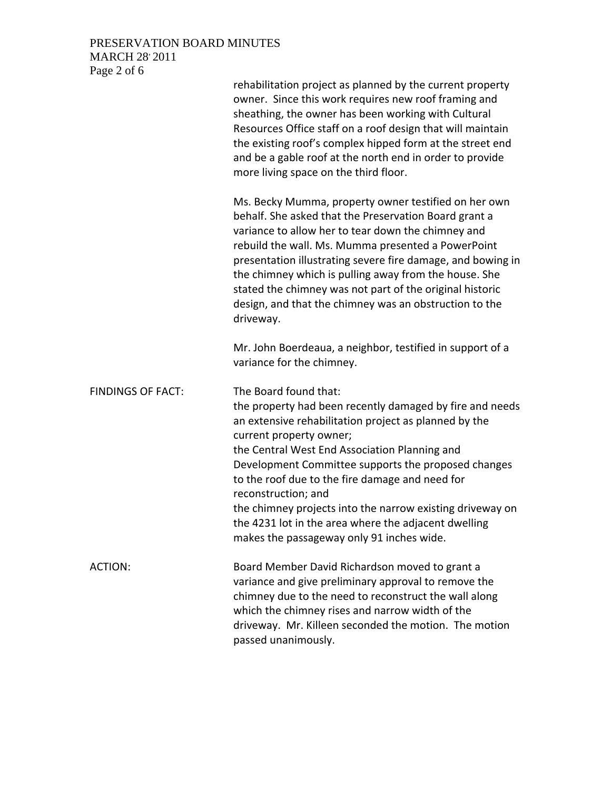## PRESERVATION BOARD MINUTES MARCH 28' 2011 Page 2 of 6

|                          | rehabilitation project as planned by the current property<br>owner. Since this work requires new roof framing and<br>sheathing, the owner has been working with Cultural<br>Resources Office staff on a roof design that will maintain<br>the existing roof's complex hipped form at the street end<br>and be a gable roof at the north end in order to provide<br>more living space on the third floor.                                                                                                                  |
|--------------------------|---------------------------------------------------------------------------------------------------------------------------------------------------------------------------------------------------------------------------------------------------------------------------------------------------------------------------------------------------------------------------------------------------------------------------------------------------------------------------------------------------------------------------|
|                          | Ms. Becky Mumma, property owner testified on her own<br>behalf. She asked that the Preservation Board grant a<br>variance to allow her to tear down the chimney and<br>rebuild the wall. Ms. Mumma presented a PowerPoint<br>presentation illustrating severe fire damage, and bowing in<br>the chimney which is pulling away from the house. She<br>stated the chimney was not part of the original historic<br>design, and that the chimney was an obstruction to the<br>driveway.                                      |
|                          | Mr. John Boerdeaua, a neighbor, testified in support of a<br>variance for the chimney.                                                                                                                                                                                                                                                                                                                                                                                                                                    |
| <b>FINDINGS OF FACT:</b> | The Board found that:<br>the property had been recently damaged by fire and needs<br>an extensive rehabilitation project as planned by the<br>current property owner;<br>the Central West End Association Planning and<br>Development Committee supports the proposed changes<br>to the roof due to the fire damage and need for<br>reconstruction; and<br>the chimney projects into the narrow existing driveway on<br>the 4231 lot in the area where the adjacent dwelling<br>makes the passageway only 91 inches wide. |
| ACTION:                  | Board Member David Richardson moved to grant a<br>variance and give preliminary approval to remove the<br>chimney due to the need to reconstruct the wall along<br>which the chimney rises and narrow width of the<br>driveway. Mr. Killeen seconded the motion. The motion<br>passed unanimously.                                                                                                                                                                                                                        |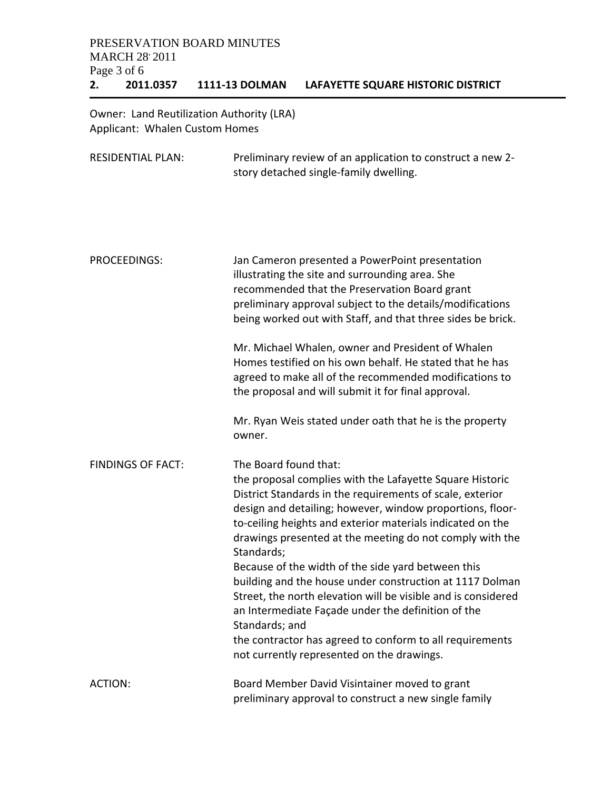Owner: Land Reutilization Authority (LRA) Applicant: Whalen Custom Homes

| <b>RESIDENTIAL PLAN:</b> | Preliminary review of an application to construct a new 2-<br>story detached single-family dwelling.                                                                                                                                                                                                                                                |
|--------------------------|-----------------------------------------------------------------------------------------------------------------------------------------------------------------------------------------------------------------------------------------------------------------------------------------------------------------------------------------------------|
|                          |                                                                                                                                                                                                                                                                                                                                                     |
| <b>PROCEEDINGS:</b>      | Jan Cameron presented a PowerPoint presentation<br>illustrating the site and surrounding area. She<br>recommended that the Preservation Board grant<br>preliminary approval subject to the details/modifications<br>being worked out with Staff, and that three sides be brick.                                                                     |
|                          | Mr. Michael Whalen, owner and President of Whalen<br>Homes testified on his own behalf. He stated that he has<br>agreed to make all of the recommended modifications to<br>the proposal and will submit it for final approval.                                                                                                                      |
|                          | Mr. Ryan Weis stated under oath that he is the property<br>owner.                                                                                                                                                                                                                                                                                   |
| <b>FINDINGS OF FACT:</b> | The Board found that:<br>the proposal complies with the Lafayette Square Historic<br>District Standards in the requirements of scale, exterior<br>design and detailing; however, window proportions, floor-<br>to-ceiling heights and exterior materials indicated on the<br>drawings presented at the meeting do not comply with the<br>Standards; |
|                          | Because of the width of the side yard between this<br>building and the house under construction at 1117 Dolman<br>Street, the north elevation will be visible and is considered<br>an Intermediate Façade under the definition of the<br>Standards; and                                                                                             |
|                          | the contractor has agreed to conform to all requirements<br>not currently represented on the drawings.                                                                                                                                                                                                                                              |
| <b>ACTION:</b>           | Board Member David Visintainer moved to grant<br>preliminary approval to construct a new single family                                                                                                                                                                                                                                              |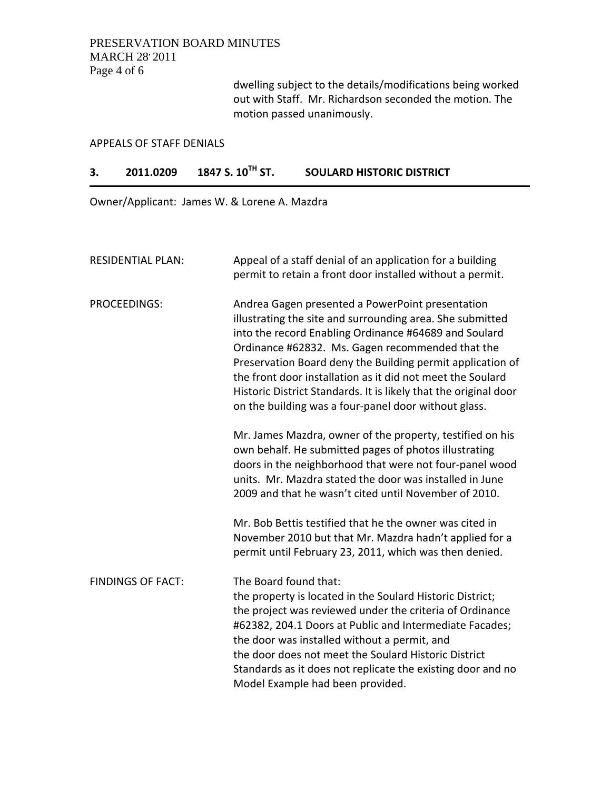## PRESERVATION BOARD MINUTES **MARCH 28 2011** Page 4 of 6

dwelling subject to the details/modifications being worked out with Staff. Mr. Richardson seconded the motion. The motion passed unanimously.

#### APPEALS OF STAFF DENIALS

## **3. 2011.0209 1847 S. 10TH ST. SOULARD HISTORIC DISTRICT**

Owner/Applicant: James W. & Lorene A. Mazdra

| <b>RESIDENTIAL PLAN:</b> | Appeal of a staff denial of an application for a building<br>permit to retain a front door installed without a permit.                                                                                                                                                                                                                                                                                                                                                             |
|--------------------------|------------------------------------------------------------------------------------------------------------------------------------------------------------------------------------------------------------------------------------------------------------------------------------------------------------------------------------------------------------------------------------------------------------------------------------------------------------------------------------|
| <b>PROCEEDINGS:</b>      | Andrea Gagen presented a PowerPoint presentation<br>illustrating the site and surrounding area. She submitted<br>into the record Enabling Ordinance #64689 and Soulard<br>Ordinance #62832. Ms. Gagen recommended that the<br>Preservation Board deny the Building permit application of<br>the front door installation as it did not meet the Soulard<br>Historic District Standards. It is likely that the original door<br>on the building was a four-panel door without glass. |
|                          | Mr. James Mazdra, owner of the property, testified on his<br>own behalf. He submitted pages of photos illustrating<br>doors in the neighborhood that were not four-panel wood<br>units. Mr. Mazdra stated the door was installed in June<br>2009 and that he wasn't cited until November of 2010.                                                                                                                                                                                  |
|                          | Mr. Bob Bettis testified that he the owner was cited in<br>November 2010 but that Mr. Mazdra hadn't applied for a<br>permit until February 23, 2011, which was then denied.                                                                                                                                                                                                                                                                                                        |
| <b>FINDINGS OF FACT:</b> | The Board found that:<br>the property is located in the Soulard Historic District;<br>the project was reviewed under the criteria of Ordinance<br>#62382, 204.1 Doors at Public and Intermediate Facades;<br>the door was installed without a permit, and<br>the door does not meet the Soulard Historic District<br>Standards as it does not replicate the existing door and no<br>Model Example had been provided.                                                               |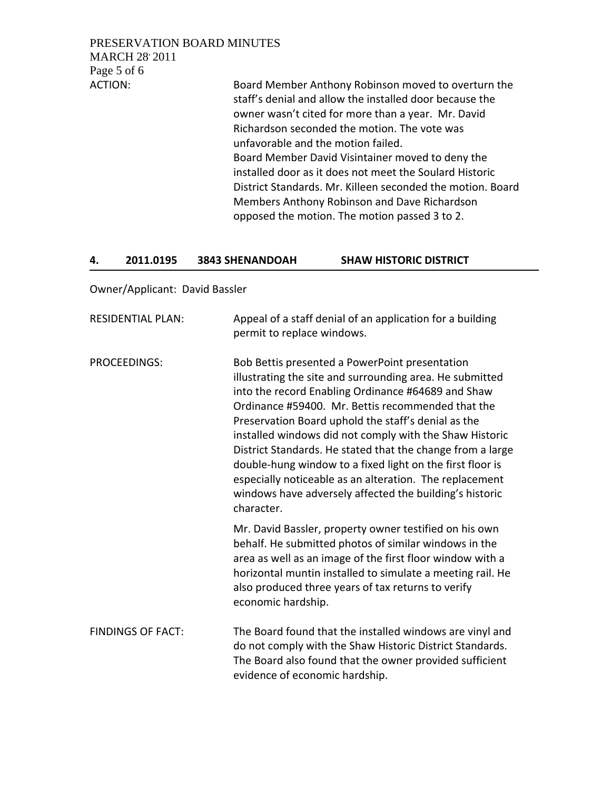PRESERVATION BOARD MINUTES **MARCH 28 2011** Page 5 of 6

ACTION: Board Member Anthony Robinson moved to overturn the staff's denial and allow the installed door because the owner wasn't cited for more than a year. Mr. David Richardson seconded the motion. The vote was unfavorable and the motion failed. Board Member David Visintainer moved to deny the installed door as it does not meet the Soulard Historic District Standards. Mr. Killeen seconded the motion. Board Members Anthony Robinson and Dave Richardson opposed the motion. The motion passed 3 to 2.

### **4. 2011.0195 3843 SHENANDOAH SHAW HISTORIC DISTRICT**

Owner/Applicant: David Bassler

| <b>RESIDENTIAL PLAN:</b> | Appeal of a staff denial of an application for a building<br>permit to replace windows.                                                                                                                                                                                                                                                                                                                                                                                                                                                                                                                |
|--------------------------|--------------------------------------------------------------------------------------------------------------------------------------------------------------------------------------------------------------------------------------------------------------------------------------------------------------------------------------------------------------------------------------------------------------------------------------------------------------------------------------------------------------------------------------------------------------------------------------------------------|
| <b>PROCEEDINGS:</b>      | Bob Bettis presented a PowerPoint presentation<br>illustrating the site and surrounding area. He submitted<br>into the record Enabling Ordinance #64689 and Shaw<br>Ordinance #59400. Mr. Bettis recommended that the<br>Preservation Board uphold the staff's denial as the<br>installed windows did not comply with the Shaw Historic<br>District Standards. He stated that the change from a large<br>double-hung window to a fixed light on the first floor is<br>especially noticeable as an alteration. The replacement<br>windows have adversely affected the building's historic<br>character. |
|                          | Mr. David Bassler, property owner testified on his own<br>behalf. He submitted photos of similar windows in the<br>area as well as an image of the first floor window with a<br>horizontal muntin installed to simulate a meeting rail. He<br>also produced three years of tax returns to verify<br>economic hardship.                                                                                                                                                                                                                                                                                 |
| <b>FINDINGS OF FACT:</b> | The Board found that the installed windows are vinyl and<br>do not comply with the Shaw Historic District Standards.<br>The Board also found that the owner provided sufficient<br>evidence of economic hardship.                                                                                                                                                                                                                                                                                                                                                                                      |